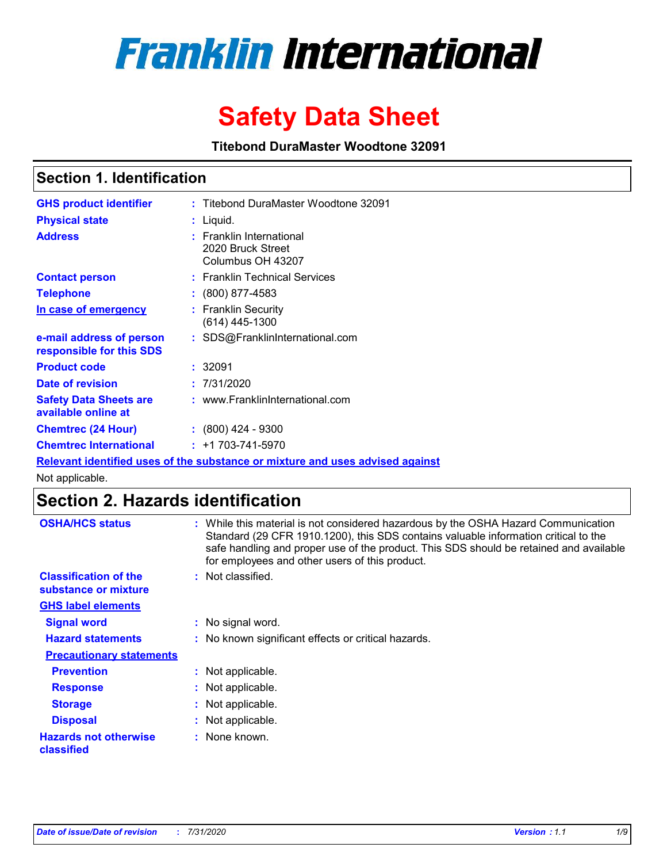# **Franklin International**

# **Safety Data Sheet**

**Titebond DuraMaster Woodtone 32091**

# **Section 1. Identification**

| <b>GHS product identifier</b>                        | : Titebond DuraMaster Woodtone 32091                                          |
|------------------------------------------------------|-------------------------------------------------------------------------------|
| <b>Physical state</b>                                | $:$ Liquid.                                                                   |
| <b>Address</b>                                       | : Franklin International<br>2020 Bruck Street<br>Columbus OH 43207            |
| <b>Contact person</b>                                | : Franklin Technical Services                                                 |
| <b>Telephone</b>                                     | $\colon$ (800) 877-4583                                                       |
| In case of emergency                                 | : Franklin Security<br>$(614)$ 445-1300                                       |
| e-mail address of person<br>responsible for this SDS | : SDS@FranklinInternational.com                                               |
| <b>Product code</b>                                  | : 32091                                                                       |
| Date of revision                                     | : 7/31/2020                                                                   |
| <b>Safety Data Sheets are</b><br>available online at | : www.FranklinInternational.com                                               |
| <b>Chemtrec (24 Hour)</b>                            | $: (800)$ 424 - 9300                                                          |
| <b>Chemtrec International</b>                        | $: +1703 - 741 - 5970$                                                        |
|                                                      | Relevant identified uses of the substance or mixture and uses advised against |

Not applicable.

# **Section 2. Hazards identification**

| <b>OSHA/HCS status</b>                               | While this material is not considered hazardous by the OSHA Hazard Communication<br>Standard (29 CFR 1910.1200), this SDS contains valuable information critical to the<br>safe handling and proper use of the product. This SDS should be retained and available<br>for employees and other users of this product. |
|------------------------------------------------------|---------------------------------------------------------------------------------------------------------------------------------------------------------------------------------------------------------------------------------------------------------------------------------------------------------------------|
| <b>Classification of the</b><br>substance or mixture | Not classified.<br>÷.                                                                                                                                                                                                                                                                                               |
| <b>GHS label elements</b>                            |                                                                                                                                                                                                                                                                                                                     |
| <b>Signal word</b>                                   | : No signal word.                                                                                                                                                                                                                                                                                                   |
| <b>Hazard statements</b>                             | : No known significant effects or critical hazards.                                                                                                                                                                                                                                                                 |
| <b>Precautionary statements</b>                      |                                                                                                                                                                                                                                                                                                                     |
| <b>Prevention</b>                                    | : Not applicable.                                                                                                                                                                                                                                                                                                   |
| <b>Response</b>                                      | Not applicable.<br>÷.                                                                                                                                                                                                                                                                                               |
| <b>Storage</b>                                       | Not applicable.                                                                                                                                                                                                                                                                                                     |
| <b>Disposal</b>                                      | Not applicable.                                                                                                                                                                                                                                                                                                     |
| <b>Hazards not otherwise</b><br>classified           | None known.                                                                                                                                                                                                                                                                                                         |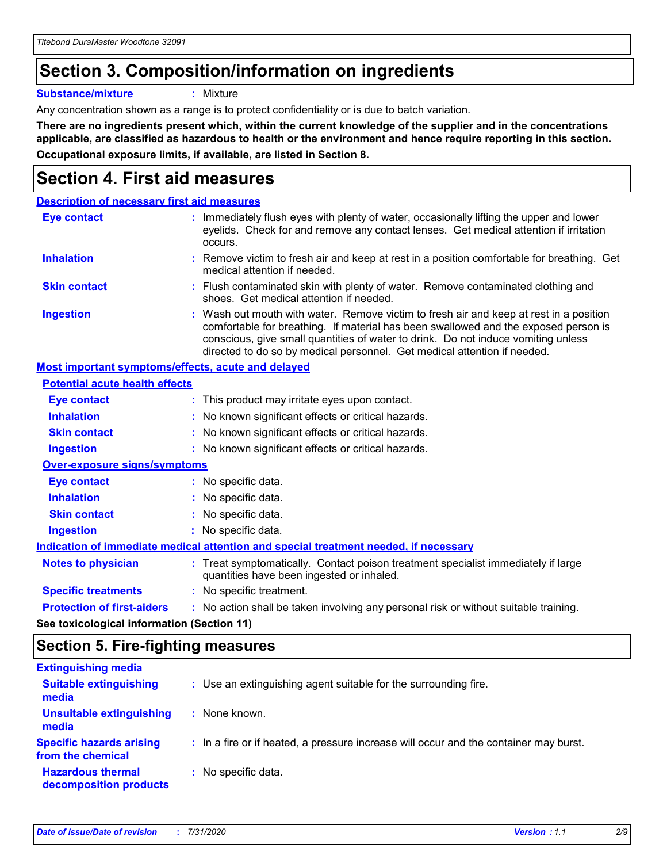# **Section 3. Composition/information on ingredients**

**Substance/mixture :** Mixture

Any concentration shown as a range is to protect confidentiality or is due to batch variation.

**There are no ingredients present which, within the current knowledge of the supplier and in the concentrations applicable, are classified as hazardous to health or the environment and hence require reporting in this section. Occupational exposure limits, if available, are listed in Section 8.**

# **Section 4. First aid measures**

| <b>Description of necessary first aid measures</b>        |                                                                                                                                                                                                                                                                                                                                                |
|-----------------------------------------------------------|------------------------------------------------------------------------------------------------------------------------------------------------------------------------------------------------------------------------------------------------------------------------------------------------------------------------------------------------|
| <b>Eye contact</b>                                        | : Immediately flush eyes with plenty of water, occasionally lifting the upper and lower<br>eyelids. Check for and remove any contact lenses. Get medical attention if irritation<br>occurs.                                                                                                                                                    |
| <b>Inhalation</b>                                         | : Remove victim to fresh air and keep at rest in a position comfortable for breathing. Get<br>medical attention if needed.                                                                                                                                                                                                                     |
| <b>Skin contact</b>                                       | : Flush contaminated skin with plenty of water. Remove contaminated clothing and<br>shoes. Get medical attention if needed.                                                                                                                                                                                                                    |
| <b>Ingestion</b>                                          | : Wash out mouth with water. Remove victim to fresh air and keep at rest in a position<br>comfortable for breathing. If material has been swallowed and the exposed person is<br>conscious, give small quantities of water to drink. Do not induce vomiting unless<br>directed to do so by medical personnel. Get medical attention if needed. |
| <b>Most important symptoms/effects, acute and delayed</b> |                                                                                                                                                                                                                                                                                                                                                |
| <b>Potential acute health effects</b>                     |                                                                                                                                                                                                                                                                                                                                                |
| Eye contact                                               | : This product may irritate eyes upon contact.                                                                                                                                                                                                                                                                                                 |
| <b>Inhalation</b>                                         | : No known significant effects or critical hazards.                                                                                                                                                                                                                                                                                            |
| <b>Skin contact</b>                                       | : No known significant effects or critical hazards.                                                                                                                                                                                                                                                                                            |
| <b>Ingestion</b>                                          | : No known significant effects or critical hazards.                                                                                                                                                                                                                                                                                            |
| <b>Over-exposure signs/symptoms</b>                       |                                                                                                                                                                                                                                                                                                                                                |
| <b>Eye contact</b>                                        | : No specific data.                                                                                                                                                                                                                                                                                                                            |
| <b>Inhalation</b>                                         | : No specific data.                                                                                                                                                                                                                                                                                                                            |
| <b>Skin contact</b>                                       | : No specific data.                                                                                                                                                                                                                                                                                                                            |
| <b>Ingestion</b>                                          | : No specific data.                                                                                                                                                                                                                                                                                                                            |
|                                                           | Indication of immediate medical attention and special treatment needed, if necessary                                                                                                                                                                                                                                                           |
| <b>Notes to physician</b>                                 | : Treat symptomatically. Contact poison treatment specialist immediately if large<br>quantities have been ingested or inhaled.                                                                                                                                                                                                                 |
| <b>Specific treatments</b>                                | : No specific treatment.                                                                                                                                                                                                                                                                                                                       |
| <b>Protection of first-aiders</b>                         | : No action shall be taken involving any personal risk or without suitable training.                                                                                                                                                                                                                                                           |
|                                                           |                                                                                                                                                                                                                                                                                                                                                |

**See toxicological information (Section 11)**

## **Section 5. Fire-fighting measures**

| <b>Extinguishing media</b>                           |                                                                                       |
|------------------------------------------------------|---------------------------------------------------------------------------------------|
| <b>Suitable extinguishing</b><br>media               | : Use an extinguishing agent suitable for the surrounding fire.                       |
| <b>Unsuitable extinguishing</b><br>media             | : None known.                                                                         |
| <b>Specific hazards arising</b><br>from the chemical | : In a fire or if heated, a pressure increase will occur and the container may burst. |
| <b>Hazardous thermal</b><br>decomposition products   | : No specific data.                                                                   |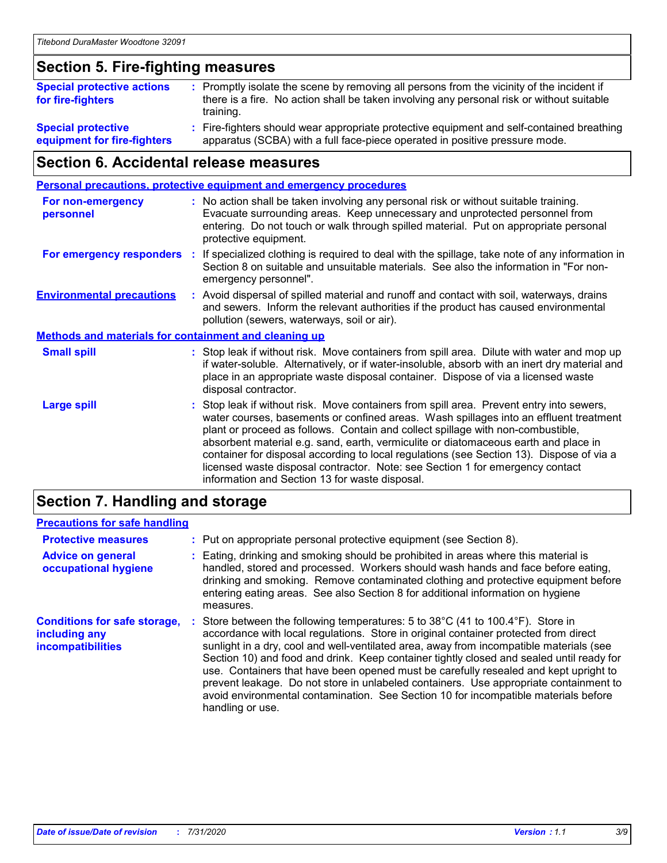### **Section 5. Fire-fighting measures**

| <b>Special protective actions</b><br>for fire-fighters | : Promptly isolate the scene by removing all persons from the vicinity of the incident if<br>there is a fire. No action shall be taken involving any personal risk or without suitable<br>training. |
|--------------------------------------------------------|-----------------------------------------------------------------------------------------------------------------------------------------------------------------------------------------------------|
| <b>Special protective</b>                              | Fire-fighters should wear appropriate protective equipment and self-contained breathing                                                                                                             |
| equipment for fire-fighters                            | apparatus (SCBA) with a full face-piece operated in positive pressure mode.                                                                                                                         |

# **Section 6. Accidental release measures**

| <b>Personal precautions, protective equipment and emergency procedures</b> |    |                                                                                                                                                                                                                                                                                                                                                                                                                                                                                                                                                                                            |
|----------------------------------------------------------------------------|----|--------------------------------------------------------------------------------------------------------------------------------------------------------------------------------------------------------------------------------------------------------------------------------------------------------------------------------------------------------------------------------------------------------------------------------------------------------------------------------------------------------------------------------------------------------------------------------------------|
| <b>For non-emergency</b><br>personnel                                      |    | : No action shall be taken involving any personal risk or without suitable training.<br>Evacuate surrounding areas. Keep unnecessary and unprotected personnel from<br>entering. Do not touch or walk through spilled material. Put on appropriate personal<br>protective equipment.                                                                                                                                                                                                                                                                                                       |
| For emergency responders                                                   | ÷. | If specialized clothing is required to deal with the spillage, take note of any information in<br>Section 8 on suitable and unsuitable materials. See also the information in "For non-<br>emergency personnel".                                                                                                                                                                                                                                                                                                                                                                           |
| <b>Environmental precautions</b>                                           |    | : Avoid dispersal of spilled material and runoff and contact with soil, waterways, drains<br>and sewers. Inform the relevant authorities if the product has caused environmental<br>pollution (sewers, waterways, soil or air).                                                                                                                                                                                                                                                                                                                                                            |
| <b>Methods and materials for containment and cleaning up</b>               |    |                                                                                                                                                                                                                                                                                                                                                                                                                                                                                                                                                                                            |
| <b>Small spill</b>                                                         |    | : Stop leak if without risk. Move containers from spill area. Dilute with water and mop up<br>if water-soluble. Alternatively, or if water-insoluble, absorb with an inert dry material and<br>place in an appropriate waste disposal container. Dispose of via a licensed waste<br>disposal contractor.                                                                                                                                                                                                                                                                                   |
| <b>Large spill</b>                                                         |    | : Stop leak if without risk. Move containers from spill area. Prevent entry into sewers,<br>water courses, basements or confined areas. Wash spillages into an effluent treatment<br>plant or proceed as follows. Contain and collect spillage with non-combustible,<br>absorbent material e.g. sand, earth, vermiculite or diatomaceous earth and place in<br>container for disposal according to local regulations (see Section 13). Dispose of via a<br>licensed waste disposal contractor. Note: see Section 1 for emergency contact<br>information and Section 13 for waste disposal. |
|                                                                            |    |                                                                                                                                                                                                                                                                                                                                                                                                                                                                                                                                                                                            |

### **Section 7. Handling and storage**

#### **Precautions for safe handling**

| <b>Protective measures</b>                                                       | : Put on appropriate personal protective equipment (see Section 8).                                                                                                                                                                                                                                                                                                                                                                                                                                                                                                                                                                                      |
|----------------------------------------------------------------------------------|----------------------------------------------------------------------------------------------------------------------------------------------------------------------------------------------------------------------------------------------------------------------------------------------------------------------------------------------------------------------------------------------------------------------------------------------------------------------------------------------------------------------------------------------------------------------------------------------------------------------------------------------------------|
| <b>Advice on general</b><br>occupational hygiene                                 | : Eating, drinking and smoking should be prohibited in areas where this material is<br>handled, stored and processed. Workers should wash hands and face before eating,<br>drinking and smoking. Remove contaminated clothing and protective equipment before<br>entering eating areas. See also Section 8 for additional information on hygiene<br>measures.                                                                                                                                                                                                                                                                                            |
| <b>Conditions for safe storage,</b><br>including any<br><b>incompatibilities</b> | Store between the following temperatures: 5 to 38°C (41 to 100.4°F). Store in<br>accordance with local regulations. Store in original container protected from direct<br>sunlight in a dry, cool and well-ventilated area, away from incompatible materials (see<br>Section 10) and food and drink. Keep container tightly closed and sealed until ready for<br>use. Containers that have been opened must be carefully resealed and kept upright to<br>prevent leakage. Do not store in unlabeled containers. Use appropriate containment to<br>avoid environmental contamination. See Section 10 for incompatible materials before<br>handling or use. |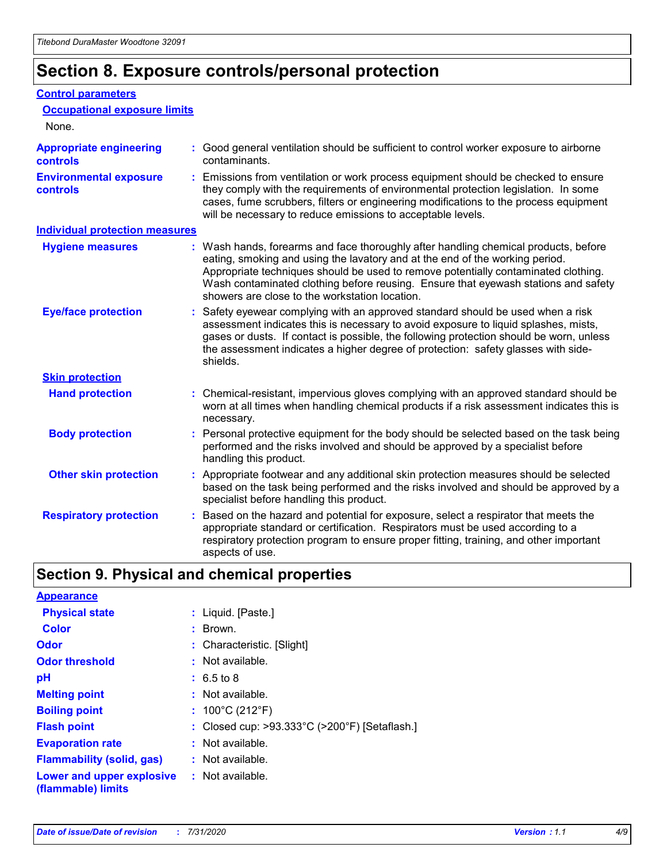# **Section 8. Exposure controls/personal protection**

#### **Control parameters**

| <b>Occupational exposure limits</b>               |                                                                                                                                                                                                                                                                                                                                                                                                   |
|---------------------------------------------------|---------------------------------------------------------------------------------------------------------------------------------------------------------------------------------------------------------------------------------------------------------------------------------------------------------------------------------------------------------------------------------------------------|
| None.                                             |                                                                                                                                                                                                                                                                                                                                                                                                   |
| <b>Appropriate engineering</b><br><b>controls</b> | : Good general ventilation should be sufficient to control worker exposure to airborne<br>contaminants.                                                                                                                                                                                                                                                                                           |
| <b>Environmental exposure</b><br><b>controls</b>  | : Emissions from ventilation or work process equipment should be checked to ensure<br>they comply with the requirements of environmental protection legislation. In some<br>cases, fume scrubbers, filters or engineering modifications to the process equipment<br>will be necessary to reduce emissions to acceptable levels.                                                                   |
| <b>Individual protection measures</b>             |                                                                                                                                                                                                                                                                                                                                                                                                   |
| <b>Hygiene measures</b>                           | : Wash hands, forearms and face thoroughly after handling chemical products, before<br>eating, smoking and using the lavatory and at the end of the working period.<br>Appropriate techniques should be used to remove potentially contaminated clothing.<br>Wash contaminated clothing before reusing. Ensure that eyewash stations and safety<br>showers are close to the workstation location. |
| <b>Eye/face protection</b>                        | : Safety eyewear complying with an approved standard should be used when a risk<br>assessment indicates this is necessary to avoid exposure to liquid splashes, mists,<br>gases or dusts. If contact is possible, the following protection should be worn, unless<br>the assessment indicates a higher degree of protection: safety glasses with side-<br>shields.                                |
| <b>Skin protection</b>                            |                                                                                                                                                                                                                                                                                                                                                                                                   |
| <b>Hand protection</b>                            | : Chemical-resistant, impervious gloves complying with an approved standard should be<br>worn at all times when handling chemical products if a risk assessment indicates this is<br>necessary.                                                                                                                                                                                                   |
| <b>Body protection</b>                            | : Personal protective equipment for the body should be selected based on the task being<br>performed and the risks involved and should be approved by a specialist before<br>handling this product.                                                                                                                                                                                               |
| <b>Other skin protection</b>                      | : Appropriate footwear and any additional skin protection measures should be selected<br>based on the task being performed and the risks involved and should be approved by a<br>specialist before handling this product.                                                                                                                                                                         |
| <b>Respiratory protection</b>                     | Based on the hazard and potential for exposure, select a respirator that meets the<br>appropriate standard or certification. Respirators must be used according to a<br>respiratory protection program to ensure proper fitting, training, and other important<br>aspects of use.                                                                                                                 |

# **Section 9. Physical and chemical properties**

| <b>Appearance</b>                                                       |                                               |
|-------------------------------------------------------------------------|-----------------------------------------------|
| <b>Physical state</b>                                                   | : Liquid. [Paste.]                            |
| <b>Color</b>                                                            | : Brown.                                      |
| Odor                                                                    | : Characteristic. [Slight]                    |
| <b>Odor threshold</b>                                                   | : Not available.                              |
| рH                                                                      | $: 6.5 \text{ to } 8$                         |
| <b>Melting point</b>                                                    | : Not available.                              |
| <b>Boiling point</b>                                                    | : $100^{\circ}$ C (212 $^{\circ}$ F)          |
| <b>Flash point</b>                                                      | : Closed cup: >93.333°C (>200°F) [Setaflash.] |
| <b>Evaporation rate</b>                                                 | : Not available.                              |
| <b>Flammability (solid, gas)</b>                                        | : Not available.                              |
| <b>Lower and upper explosive : Not available.</b><br>(flammable) limits |                                               |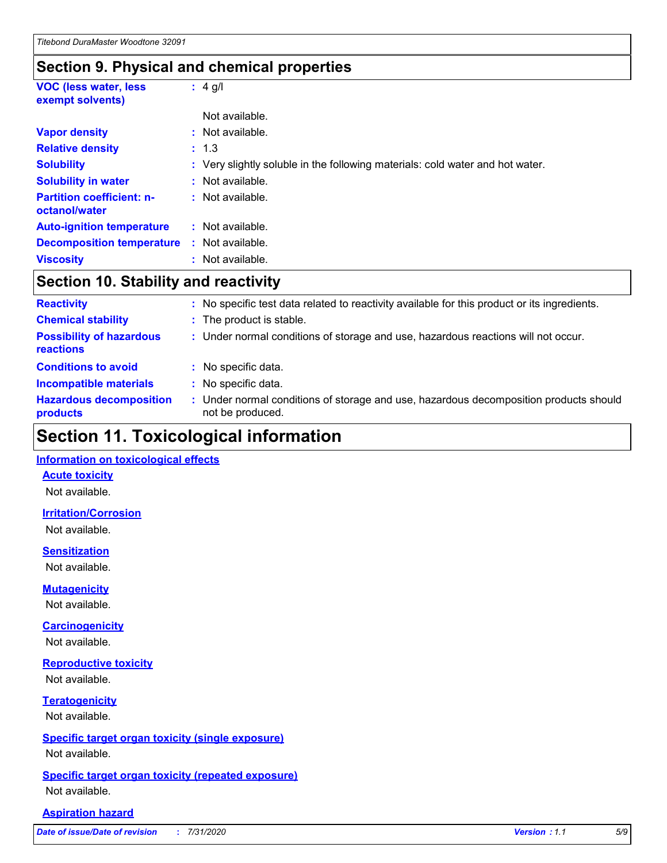# **Section 9. Physical and chemical properties**

| <b>VOC (less water, less)</b><br>exempt solvents) | $: 4$ g/l                                                                     |
|---------------------------------------------------|-------------------------------------------------------------------------------|
|                                                   | Not available.                                                                |
| <b>Vapor density</b>                              | : Not available.                                                              |
| <b>Relative density</b>                           | : 1.3                                                                         |
| <b>Solubility</b>                                 | : Very slightly soluble in the following materials: cold water and hot water. |
| <b>Solubility in water</b>                        | : Not available.                                                              |
| <b>Partition coefficient: n-</b><br>octanol/water | : Not available.                                                              |
| <b>Auto-ignition temperature</b>                  | : Not available.                                                              |
| <b>Decomposition temperature</b>                  | : Not available.                                                              |
| <b>Viscosity</b>                                  | : Not available.                                                              |

# **Section 10. Stability and reactivity**

| <b>Reactivity</b>                            | : No specific test data related to reactivity available for this product or its ingredients.            |
|----------------------------------------------|---------------------------------------------------------------------------------------------------------|
| <b>Chemical stability</b>                    | : The product is stable.                                                                                |
| <b>Possibility of hazardous</b><br>reactions | : Under normal conditions of storage and use, hazardous reactions will not occur.                       |
| <b>Conditions to avoid</b>                   | : No specific data.                                                                                     |
| <b>Incompatible materials</b>                | No specific data.                                                                                       |
| <b>Hazardous decomposition</b><br>products   | Under normal conditions of storage and use, hazardous decomposition products should<br>not be produced. |

# **Section 11. Toxicological information**

#### **Information on toxicological effects**

#### **Acute toxicity**

Not available.

#### **Irritation/Corrosion**

Not available.

#### **Sensitization**

Not available.

#### **Mutagenicity**

Not available.

#### **Carcinogenicity**

Not available.

#### **Reproductive toxicity**

Not available.

### **Teratogenicity**

Not available.

#### **Specific target organ toxicity (single exposure)**

Not available.

#### **Specific target organ toxicity (repeated exposure)** Not available.

#### **Aspiration hazard**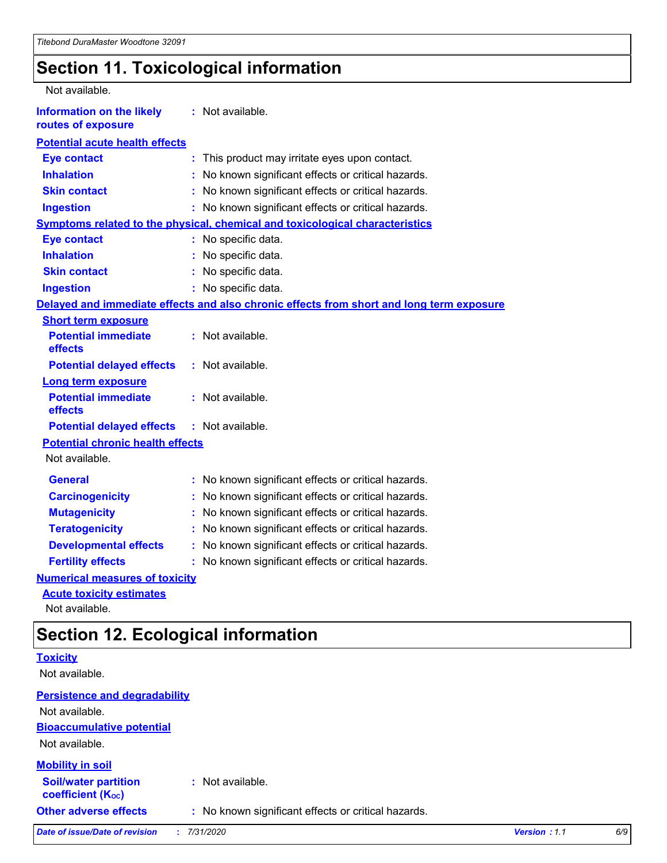# **Section 11. Toxicological information**

| Not available.                                         |                                                                                          |
|--------------------------------------------------------|------------------------------------------------------------------------------------------|
| <b>Information on the likely</b><br>routes of exposure | : Not available.                                                                         |
| <b>Potential acute health effects</b>                  |                                                                                          |
| <b>Eye contact</b>                                     | : This product may irritate eyes upon contact.                                           |
| <b>Inhalation</b>                                      | No known significant effects or critical hazards.                                        |
| <b>Skin contact</b>                                    | No known significant effects or critical hazards.                                        |
| <b>Ingestion</b>                                       | : No known significant effects or critical hazards.                                      |
|                                                        | <b>Symptoms related to the physical, chemical and toxicological characteristics</b>      |
| <b>Eye contact</b>                                     | : No specific data.                                                                      |
| <b>Inhalation</b>                                      | : No specific data.                                                                      |
| <b>Skin contact</b>                                    | No specific data.                                                                        |
| <b>Ingestion</b>                                       | : No specific data.                                                                      |
|                                                        | Delayed and immediate effects and also chronic effects from short and long term exposure |
| <b>Short term exposure</b>                             |                                                                                          |
| <b>Potential immediate</b><br>effects                  | : Not available.                                                                         |
| <b>Potential delayed effects</b>                       | : Not available.                                                                         |
| <b>Long term exposure</b>                              |                                                                                          |
| <b>Potential immediate</b><br>effects                  | : Not available.                                                                         |
| <b>Potential delayed effects</b>                       | : Not available.                                                                         |
| <b>Potential chronic health effects</b>                |                                                                                          |
| Not available.                                         |                                                                                          |
| <b>General</b>                                         | : No known significant effects or critical hazards.                                      |
| <b>Carcinogenicity</b>                                 | No known significant effects or critical hazards.                                        |
| <b>Mutagenicity</b>                                    | No known significant effects or critical hazards.<br>÷.                                  |
| <b>Teratogenicity</b>                                  | No known significant effects or critical hazards.                                        |
| <b>Developmental effects</b>                           | No known significant effects or critical hazards.                                        |
| <b>Fertility effects</b>                               | No known significant effects or critical hazards.                                        |
| <b>Numerical measures of toxicity</b>                  |                                                                                          |
| <b>Acute toxicity estimates</b>                        |                                                                                          |

Not available.

# **Section 12. Ecological information**

|                                                         | --- -----------                                     |              |     |
|---------------------------------------------------------|-----------------------------------------------------|--------------|-----|
| <b>Toxicity</b>                                         |                                                     |              |     |
| Not available.                                          |                                                     |              |     |
| <b>Persistence and degradability</b>                    |                                                     |              |     |
| Not available.                                          |                                                     |              |     |
| <b>Bioaccumulative potential</b>                        |                                                     |              |     |
| Not available.                                          |                                                     |              |     |
| <b>Mobility in soil</b>                                 |                                                     |              |     |
| <b>Soil/water partition</b><br><b>coefficient (Koc)</b> | : Not available.                                    |              |     |
| <b>Other adverse effects</b>                            | : No known significant effects or critical hazards. |              |     |
| <b>Date of issue/Date of revision</b>                   | 7/31/2020                                           | Version: 1.1 | 6/9 |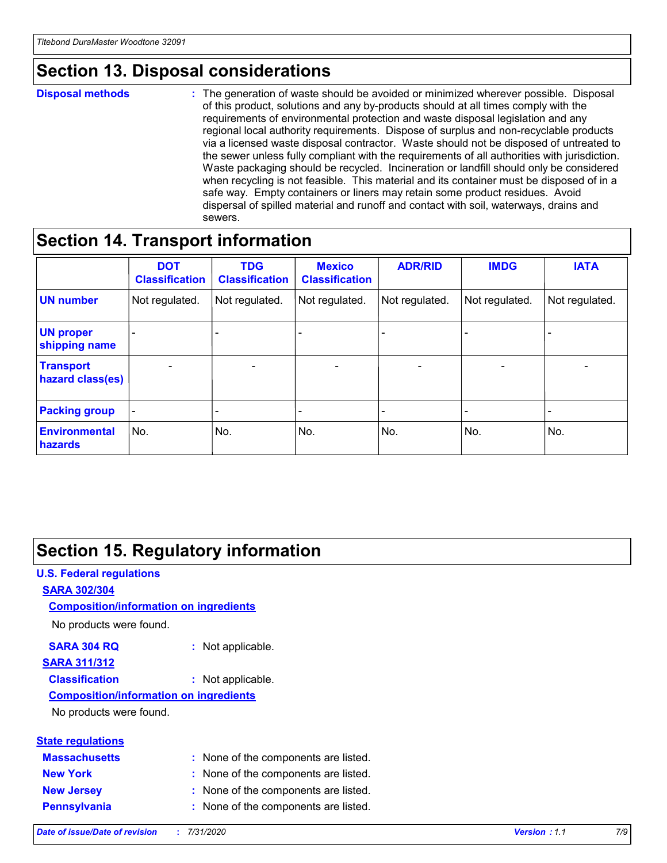# **Section 13. Disposal considerations**

#### **Disposal methods :**

The generation of waste should be avoided or minimized wherever possible. Disposal of this product, solutions and any by-products should at all times comply with the requirements of environmental protection and waste disposal legislation and any regional local authority requirements. Dispose of surplus and non-recyclable products via a licensed waste disposal contractor. Waste should not be disposed of untreated to the sewer unless fully compliant with the requirements of all authorities with jurisdiction. Waste packaging should be recycled. Incineration or landfill should only be considered when recycling is not feasible. This material and its container must be disposed of in a safe way. Empty containers or liners may retain some product residues. Avoid dispersal of spilled material and runoff and contact with soil, waterways, drains and sewers.

# **Section 14. Transport information**

|                                      | <b>DOT</b><br><b>Classification</b> | <b>TDG</b><br><b>Classification</b> | <b>Mexico</b><br><b>Classification</b> | <b>ADR/RID</b>           | <b>IMDG</b>              | <b>IATA</b>              |
|--------------------------------------|-------------------------------------|-------------------------------------|----------------------------------------|--------------------------|--------------------------|--------------------------|
| <b>UN number</b>                     | Not regulated.                      | Not regulated.                      | Not regulated.                         | Not regulated.           | Not regulated.           | Not regulated.           |
| <b>UN proper</b><br>shipping name    | $\qquad \qquad -$                   | $\qquad \qquad -$                   |                                        |                          |                          | $\overline{\phantom{0}}$ |
| <b>Transport</b><br>hazard class(es) | $\overline{\phantom{a}}$            | $\overline{\phantom{a}}$            | $\overline{\phantom{a}}$               | $\overline{\phantom{a}}$ | $\overline{\phantom{a}}$ | $\overline{\phantom{a}}$ |
| <b>Packing group</b>                 | $\overline{\phantom{a}}$            |                                     |                                        | -                        |                          | -                        |
| <b>Environmental</b><br>hazards      | No.                                 | No.                                 | No.                                    | No.                      | No.                      | No.                      |

# **Section 15. Regulatory information**

# **U.S. Federal regulations SARA 302/304 Composition/information on ingredients**

No products were found.

#### **SARA 304 RQ :** Not applicable. **SARA 311/312**

#### **Classification :** Not applicable.

#### **Composition/information on ingredients**

No products were found.

|  | <b>State regulations</b> |
|--|--------------------------|
|  |                          |

| <b>Massachusetts</b> | : None of the components are listed. |
|----------------------|--------------------------------------|
| <b>New York</b>      | : None of the components are listed. |
| <b>New Jersey</b>    | : None of the components are listed. |
| <b>Pennsylvania</b>  | : None of the components are listed. |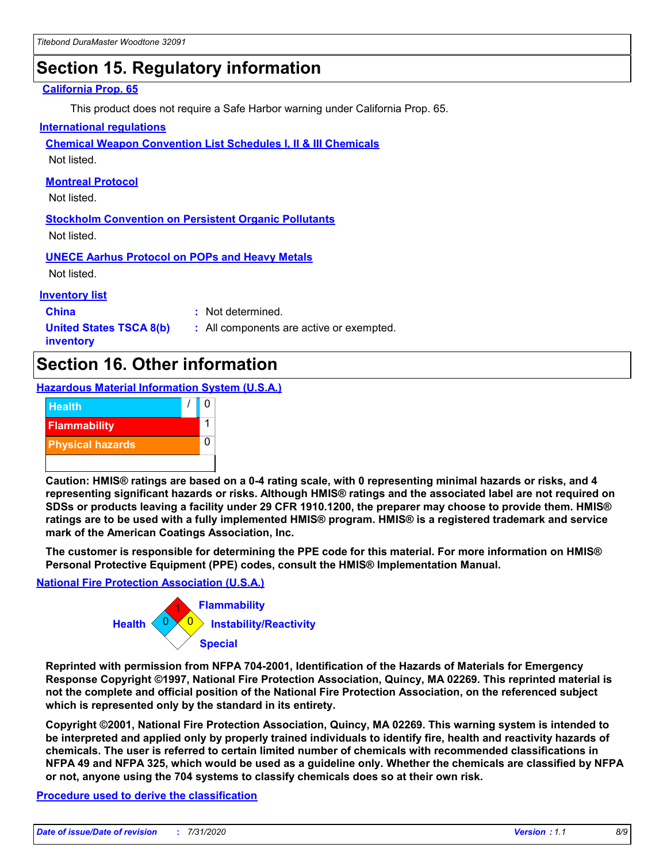# **Section 15. Regulatory information**

#### **California Prop. 65**

This product does not require a Safe Harbor warning under California Prop. 65.

#### **International regulations**

**Chemical Weapon Convention List Schedules I, II & III Chemicals**

Not listed.

#### **Montreal Protocol**

Not listed.

**Stockholm Convention on Persistent Organic Pollutants** Not listed.

**UNECE Aarhus Protocol on POPs and Heavy Metals**

Not listed.

#### **Inventory list**

**China :** Not determined.

**United States TSCA 8(b) inventory**

**:** All components are active or exempted.

# **Section 16. Other information**

**Hazardous Material Information System (U.S.A.)**



**Caution: HMIS® ratings are based on a 0-4 rating scale, with 0 representing minimal hazards or risks, and 4 representing significant hazards or risks. Although HMIS® ratings and the associated label are not required on SDSs or products leaving a facility under 29 CFR 1910.1200, the preparer may choose to provide them. HMIS® ratings are to be used with a fully implemented HMIS® program. HMIS® is a registered trademark and service mark of the American Coatings Association, Inc.**

**The customer is responsible for determining the PPE code for this material. For more information on HMIS® Personal Protective Equipment (PPE) codes, consult the HMIS® Implementation Manual.**

#### **National Fire Protection Association (U.S.A.)**



**Reprinted with permission from NFPA 704-2001, Identification of the Hazards of Materials for Emergency Response Copyright ©1997, National Fire Protection Association, Quincy, MA 02269. This reprinted material is not the complete and official position of the National Fire Protection Association, on the referenced subject which is represented only by the standard in its entirety.**

**Copyright ©2001, National Fire Protection Association, Quincy, MA 02269. This warning system is intended to be interpreted and applied only by properly trained individuals to identify fire, health and reactivity hazards of chemicals. The user is referred to certain limited number of chemicals with recommended classifications in NFPA 49 and NFPA 325, which would be used as a guideline only. Whether the chemicals are classified by NFPA or not, anyone using the 704 systems to classify chemicals does so at their own risk.**

#### **Procedure used to derive the classification**